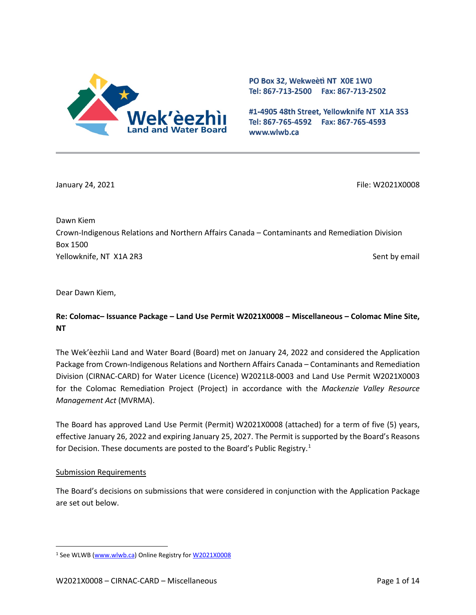

PO Box 32, Wekweeti NT X0E 1W0 Tel: 867-713-2500 Fax: 867-713-2502

#1-4905 48th Street, Yellowknife NT X1A 3S3 Tel: 867-765-4592 Fax: 867-765-4593 www.wlwb.ca

January 24, 2021 **File: W2021X0008** File: W2021X0008

Dawn Kiem Crown-Indigenous Relations and Northern Affairs Canada – Contaminants and Remediation Division Box 1500 Yellowknife, NT X1A 2R3 Sent by email and the sent by email sent by email sent by email sent by email

Dear Dawn Kiem,

## **Re: Colomac– Issuance Package – Land Use Permit W2021X0008 – Miscellaneous – Colomac Mine Site, NT**

The Wek'èezhìi Land and Water Board (Board) met on January 24, 2022 and considered the Application Package from Crown-Indigenous Relations and Northern Affairs Canada – Contaminants and Remediation Division (CIRNAC-CARD) for Water Licence (Licence) W2021L8-0003 and Land Use Permit W2021X0003 for the Colomac Remediation Project (Project) in accordance with the *Mackenzie Valley Resource Management Act* (MVRMA).

The Board has approved Land Use Permit (Permit) W2021X0008 (attached) for a term of five (5) years, effective January 26, 2022 and expiring January 25, 2027. The Permit is supported by the Board's Reasons for Decision. These documents are posted to the Board's Public Registry.<sup>[1](#page-0-0)</sup>

#### Submission Requirements

The Board's decisions on submissions that were considered in conjunction with the Application Package are set out below.

<span id="page-0-0"></span><sup>&</sup>lt;sup>1</sup> See WLWB [\(www.wlwb.ca\)](http://www.wlwb.ca/) Online Registry fo[r W2021X0008](https://wlwb.ca/registry/W2021X0008)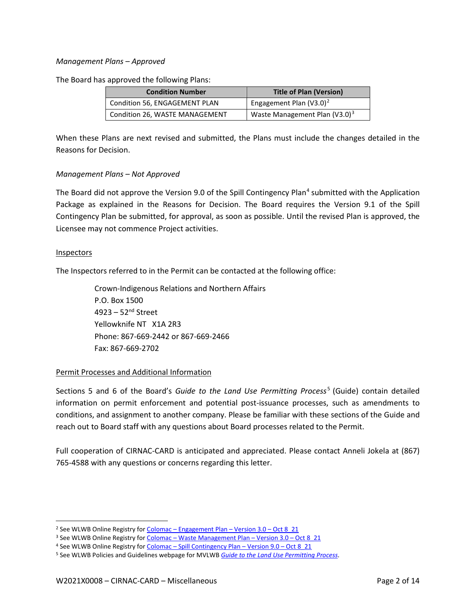#### *Management Plans – Approved*

The Board has approved the following Plans:

| <b>Condition Number</b>        | <b>Title of Plan (Version)</b>   |
|--------------------------------|----------------------------------|
| Condition 56, ENGAGEMENT PLAN  | Engagement Plan $(V3.0)^2$       |
| Condition 26, WASTE MANAGEMENT | Waste Management Plan $(V3.0)^3$ |

When these Plans are next revised and submitted, the Plans must include the changes detailed in the Reasons for Decision.

#### *Management Plans – Not Approved*

The Board did not approve the Version 9.0 of the Spill Contingency Plan<sup>[4](#page-1-2)</sup> submitted with the Application Package as explained in the Reasons for Decision. The Board requires the Version 9.1 of the Spill Contingency Plan be submitted, for approval, as soon as possible. Until the revised Plan is approved, the Licensee may not commence Project activities.

#### Inspectors

The Inspectors referred to in the Permit can be contacted at the following office:

Crown-Indigenous Relations and Northern Affairs P.O. Box 1500 4923 – 52nd Street Yellowknife NT X1A 2R3 Phone: 867-669-2442 or 867-669-2466 Fax: 867-669-2702

#### Permit Processes and Additional Information

Sections 5 and 6 of the Board's *Guide to the Land Use Permitting Process* [5](#page-1-3) (Guide) contain detailed information on permit enforcement and potential post-issuance processes, such as amendments to conditions, and assignment to another company. Please be familiar with these sections of the Guide and reach out to Board staff with any questions about Board processes related to the Permit.

Full cooperation of CIRNAC-CARD is anticipated and appreciated. Please contact Anneli Jokela at (867) 765-4588 with any questions or concerns regarding this letter.

<span id="page-1-0"></span><sup>&</sup>lt;sup>2</sup> See WLWB Online Registry for Colomac – [Engagement Plan –](https://registry.mvlwb.ca/Documents/W2021L8-0003/Colomac%20-%20Engagement%20Plan%20-%20Version%203.0%20-%20Oct%208_21.pdf) Version  $3.0 - Oct 8$  21

<span id="page-1-1"></span><sup>&</sup>lt;sup>3</sup> See WLWB Online Registry for Colomac – [Waste Management Plan –](https://registry.mvlwb.ca/Documents/W2021L8-0003/Colomac%20-%20Waste%20Management%20Plan%20-%20Version%203.0%20-%20Oct%208_21.pdf) Version 3.0 – Oct 8\_21

<span id="page-1-2"></span><sup>&</sup>lt;sup>4</sup> See WLWB Online Registry for Colomac – [Spill Contingency Plan –](https://registry.mvlwb.ca/Documents/W2021L8-0003/Colomac%20-%20Spill%20Contingency%20Plan%20-%20Version%209.0%20-%20Oct%208_21.pdf) Version 9.0 – Oct 8\_21

<span id="page-1-3"></span><sup>5</sup> See WLWB Policies and Guidelines webpage for MVLWB *[Guide to the Land Use Permitting Process](https://mvlwb.com/sites/default/files/2021-08/LWB%20Guide%20to%20the%20Land%20Use%20Permitting%20Process%20-%20FINAL%20-%20Aug%2030_21.pdf)*.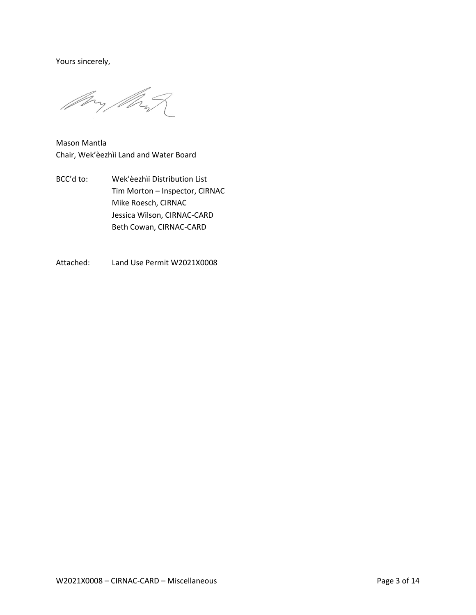Yours sincerely,

My My

Mason Mantla Chair, Wek'èezhìi Land and Water Board

- BCC'd to: Wek'èezhìi Distribution List Tim Morton – Inspector, CIRNAC Mike Roesch, CIRNAC Jessica Wilson, CIRNAC-CARD Beth Cowan, CIRNAC-CARD
- Attached: Land Use Permit W2021X0008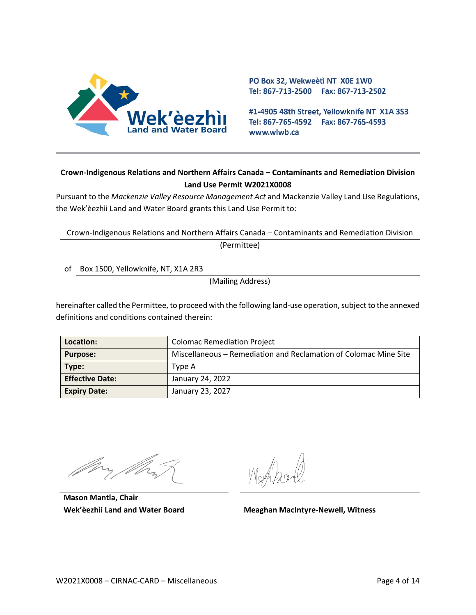

PO Box 32, Wekweeti NT X0E 1W0 Tel: 867-713-2500 Fax: 867-713-2502

#1-4905 48th Street, Yellowknife NT X1A 3S3 Tel: 867-765-4592 Fax: 867-765-4593 www.wlwb.ca

## **Crown-Indigenous Relations and Northern Affairs Canada – Contaminants and Remediation Division Land Use Permit W2021X0008**

Pursuant to the *Mackenzie Valley Resource Management Act* and Mackenzie Valley Land Use Regulations, the Wek'èezhìi Land and Water Board grants this Land Use Permit to:

Crown-Indigenous Relations and Northern Affairs Canada – Contaminants and Remediation Division (Permittee)

of Box 1500, Yellowknife, NT, X1A 2R3

(Mailing Address)

hereinafter called the Permittee, to proceed with the following land-use operation, subject to the annexed definitions and conditions contained therein:

| Location:              | <b>Colomac Remediation Project</b>                               |
|------------------------|------------------------------------------------------------------|
| <b>Purpose:</b>        | Miscellaneous – Remediation and Reclamation of Colomac Mine Site |
| Type:                  | Type A                                                           |
| <b>Effective Date:</b> | January 24, 2022                                                 |
| <b>Expiry Date:</b>    | January 23, 2027                                                 |

**Mason Mantla, Chair**

**Wek'èezhìi Land and Water Board Meaghan MacIntyre-Newell, Witness**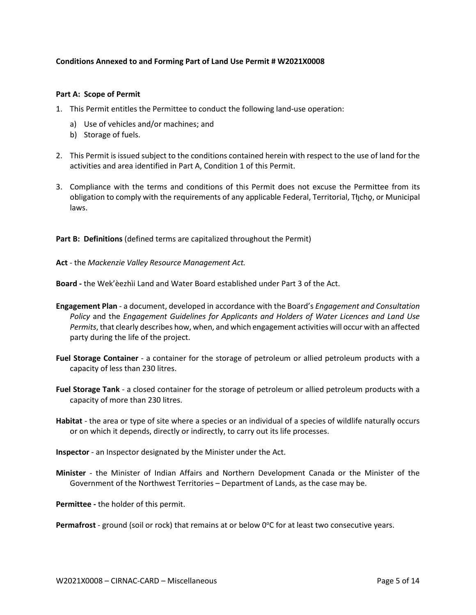#### **Conditions Annexed to and Forming Part of Land Use Permit # W2021X0008**

#### **Part A: Scope of Permit**

- 1. This Permit entitles the Permittee to conduct the following land-use operation:
	- a) Use of vehicles and/or machines; and
	- b) Storage of fuels.
- 2. This Permit is issued subject to the conditions contained herein with respect to the use of land for the activities and area identified in Part A, Condition 1 of this Permit.
- 3. Compliance with the terms and conditions of this Permit does not excuse the Permittee from its obligation to comply with the requirements of any applicable Federal, Territorial, Tłıcho, or Municipal laws.

**Part B: Definitions** (defined terms are capitalized throughout the Permit)

**Act** - the *Mackenzie Valley Resource Management Act.*

**Board -** the Wek'èezhìi Land and Water Board established under Part 3 of the Act.

- **Engagement Plan**  a document, developed in accordance with the Board's *Engagement and Consultation Policy* and the *Engagement Guidelines for Applicants and Holders of Water Licences and Land Use Permits*, that clearly describes how, when, and which engagement activities will occur with an affected party during the life of the project.
- **Fuel Storage Container** a container for the storage of petroleum or allied petroleum products with a capacity of less than 230 litres.
- **Fuel Storage Tank**  a closed container for the storage of petroleum or allied petroleum products with a capacity of more than 230 litres.
- **Habitat** the area or type of site where a species or an individual of a species of wildlife naturally occurs or on which it depends, directly or indirectly, to carry out its life processes.
- **Inspector**  an Inspector designated by the Minister under the Act.
- **Minister** the Minister of Indian Affairs and Northern Development Canada or the Minister of the Government of the Northwest Territories – Department of Lands, as the case may be.

**Permittee -** the holder of this permit.

Permafrost - ground (soil or rock) that remains at or below 0°C for at least two consecutive years.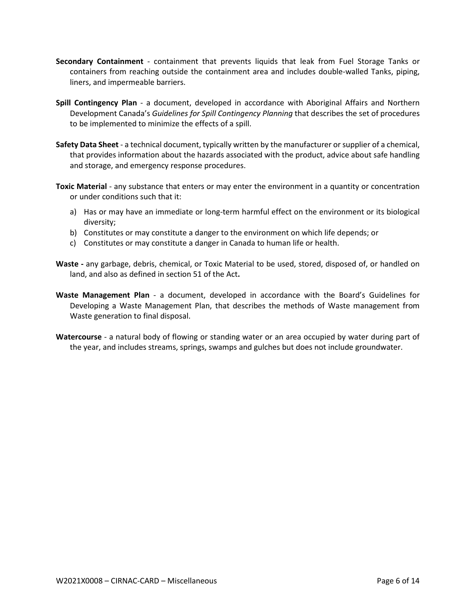- **Secondary Containment** containment that prevents liquids that leak from Fuel Storage Tanks or containers from reaching outside the containment area and includes double-walled Tanks, piping, liners, and impermeable barriers.
- **Spill Contingency Plan** a document, developed in accordance with Aboriginal Affairs and Northern Development Canada's *Guidelines for Spill Contingency Planning* that describes the set of procedures to be implemented to minimize the effects of a spill.
- **Safety Data Sheet**  a technical document, typically written by the manufacturer or supplier of a chemical, that provides information about the hazards associated with the product, advice about safe handling and storage, and emergency response procedures.
- **Toxic Material** any substance that enters or may enter the environment in a quantity or concentration or under conditions such that it:
	- a) Has or may have an immediate or long-term harmful effect on the environment or its biological diversity;
	- b) Constitutes or may constitute a danger to the environment on which life depends; or
	- c) Constitutes or may constitute a danger in Canada to human life or health.
- **Waste -** any garbage, debris, chemical, or Toxic Material to be used, stored, disposed of, or handled on land, and also as defined in section 51 of the Act**.**
- **Waste Management Plan** a document, developed in accordance with the Board's Guidelines for Developing a Waste Management Plan, that describes the methods of Waste management from Waste generation to final disposal.
- **Watercourse** a natural body of flowing or standing water or an area occupied by water during part of the year, and includes streams, springs, swamps and gulches but does not include groundwater.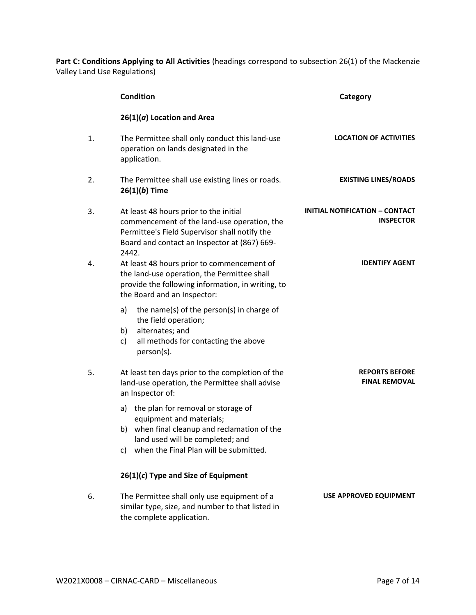Part C: Conditions Applying to All Activities (headings correspond to subsection 26(1) of the Mackenzie Valley Land Use Regulations)

|    | <b>Condition</b>                                                                                                                                                                                         | Category                                                  |
|----|----------------------------------------------------------------------------------------------------------------------------------------------------------------------------------------------------------|-----------------------------------------------------------|
|    | $26(1)(a)$ Location and Area                                                                                                                                                                             |                                                           |
| 1. | The Permittee shall only conduct this land-use<br>operation on lands designated in the<br>application.                                                                                                   | <b>LOCATION OF ACTIVITIES</b>                             |
| 2. | The Permittee shall use existing lines or roads.<br>$26(1)(b)$ Time                                                                                                                                      | <b>EXISTING LINES/ROADS</b>                               |
| 3. | At least 48 hours prior to the initial<br>commencement of the land-use operation, the<br>Permittee's Field Supervisor shall notify the<br>Board and contact an Inspector at (867) 669-<br>2442.          | <b>INITIAL NOTIFICATION - CONTACT</b><br><b>INSPECTOR</b> |
| 4. | At least 48 hours prior to commencement of<br>the land-use operation, the Permittee shall<br>provide the following information, in writing, to<br>the Board and an Inspector:                            | <b>IDENTIFY AGENT</b>                                     |
|    | a)<br>the name(s) of the person(s) in charge of<br>the field operation;<br>alternates; and<br>b)<br>all methods for contacting the above<br>c)<br>person(s).                                             |                                                           |
| 5. | At least ten days prior to the completion of the<br>land-use operation, the Permittee shall advise<br>an Inspector of:                                                                                   | <b>REPORTS BEFORE</b><br><b>FINAL REMOVAL</b>             |
|    | a) the plan for removal or storage of<br>equipment and materials;<br>when final cleanup and reclamation of the<br>b)<br>land used will be completed; and<br>when the Final Plan will be submitted.<br>c) |                                                           |
|    | 26(1)(c) Type and Size of Equipment                                                                                                                                                                      |                                                           |
| 6. | The Permittee shall only use equipment of a<br>similar type, size, and number to that listed in<br>the complete application.                                                                             | USE APPROVED EQUIPMENT                                    |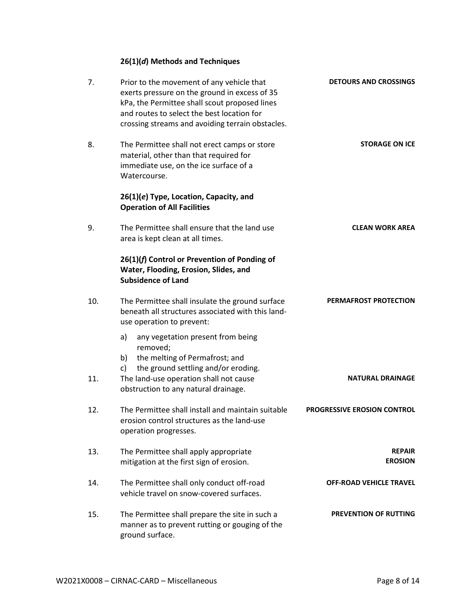# **26(1)(***d***) Methods and Techniques**

| <b>DETOURS AND CROSSINGS</b>       | Prior to the movement of any vehicle that<br>exerts pressure on the ground in excess of 35<br>kPa, the Permittee shall scout proposed lines<br>and routes to select the best location for<br>crossing streams and avoiding terrain obstacles. | 7.  |
|------------------------------------|-----------------------------------------------------------------------------------------------------------------------------------------------------------------------------------------------------------------------------------------------|-----|
| <b>STORAGE ON ICE</b>              | The Permittee shall not erect camps or store<br>material, other than that required for<br>immediate use, on the ice surface of a<br>Watercourse.                                                                                              | 8.  |
|                                    | 26(1)(e) Type, Location, Capacity, and<br><b>Operation of All Facilities</b>                                                                                                                                                                  |     |
| <b>CLEAN WORK AREA</b>             | The Permittee shall ensure that the land use<br>area is kept clean at all times.                                                                                                                                                              | 9.  |
|                                    | 26(1)(f) Control or Prevention of Ponding of<br>Water, Flooding, Erosion, Slides, and<br><b>Subsidence of Land</b>                                                                                                                            |     |
| PERMAFROST PROTECTION              | The Permittee shall insulate the ground surface<br>beneath all structures associated with this land-<br>use operation to prevent:                                                                                                             | 10. |
|                                    | a)<br>any vegetation present from being<br>removed;<br>the melting of Permafrost; and<br>b)<br>the ground settling and/or eroding.<br>c)                                                                                                      |     |
| <b>NATURAL DRAINAGE</b>            | The land-use operation shall not cause<br>obstruction to any natural drainage.                                                                                                                                                                | 11. |
| <b>PROGRESSIVE EROSION CONTROL</b> | The Permittee shall install and maintain suitable<br>erosion control structures as the land-use<br>operation progresses.                                                                                                                      | 12. |
| <b>REPAIR</b><br><b>EROSION</b>    | The Permittee shall apply appropriate<br>mitigation at the first sign of erosion.                                                                                                                                                             | 13. |
| <b>OFF-ROAD VEHICLE TRAVEL</b>     | The Permittee shall only conduct off-road<br>vehicle travel on snow-covered surfaces.                                                                                                                                                         | 14. |
| <b>PREVENTION OF RUTTING</b>       | The Permittee shall prepare the site in such a<br>manner as to prevent rutting or gouging of the<br>ground surface.                                                                                                                           | 15. |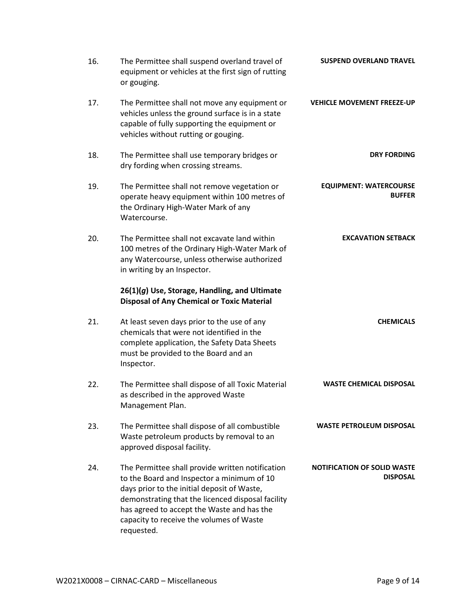| <b>SUSPEND OVERLAND TRAVEL</b>                        | The Permittee shall suspend overland travel of<br>equipment or vehicles at the first sign of rutting<br>or gouging.                                                                                                                                                                                        | 16. |
|-------------------------------------------------------|------------------------------------------------------------------------------------------------------------------------------------------------------------------------------------------------------------------------------------------------------------------------------------------------------------|-----|
| <b>VEHICLE MOVEMENT FREEZE-UP</b>                     | The Permittee shall not move any equipment or<br>vehicles unless the ground surface is in a state<br>capable of fully supporting the equipment or<br>vehicles without rutting or gouging.                                                                                                                  | 17. |
| <b>DRY FORDING</b>                                    | The Permittee shall use temporary bridges or<br>dry fording when crossing streams.                                                                                                                                                                                                                         | 18. |
| <b>EQUIPMENT: WATERCOURSE</b><br><b>BUFFER</b>        | The Permittee shall not remove vegetation or<br>operate heavy equipment within 100 metres of<br>the Ordinary High-Water Mark of any<br>Watercourse.                                                                                                                                                        | 19. |
| <b>EXCAVATION SETBACK</b>                             | The Permittee shall not excavate land within<br>100 metres of the Ordinary High-Water Mark of<br>any Watercourse, unless otherwise authorized<br>in writing by an Inspector.                                                                                                                               | 20. |
|                                                       | 26(1)(g) Use, Storage, Handling, and Ultimate<br><b>Disposal of Any Chemical or Toxic Material</b>                                                                                                                                                                                                         |     |
| <b>CHEMICALS</b>                                      | At least seven days prior to the use of any<br>chemicals that were not identified in the<br>complete application, the Safety Data Sheets<br>must be provided to the Board and an<br>Inspector.                                                                                                             | 21. |
| <b>WASTE CHEMICAL DISPOSAL</b>                        | The Permittee shall dispose of all Toxic Material<br>as described in the approved Waste<br>Management Plan.                                                                                                                                                                                                | 22. |
| <b>WASTE PETROLEUM DISPOSAL</b>                       | The Permittee shall dispose of all combustible<br>Waste petroleum products by removal to an<br>approved disposal facility.                                                                                                                                                                                 | 23. |
| <b>NOTIFICATION OF SOLID WASTE</b><br><b>DISPOSAL</b> | The Permittee shall provide written notification<br>to the Board and Inspector a minimum of 10<br>days prior to the initial deposit of Waste,<br>demonstrating that the licenced disposal facility<br>has agreed to accept the Waste and has the<br>capacity to receive the volumes of Waste<br>requested. | 24. |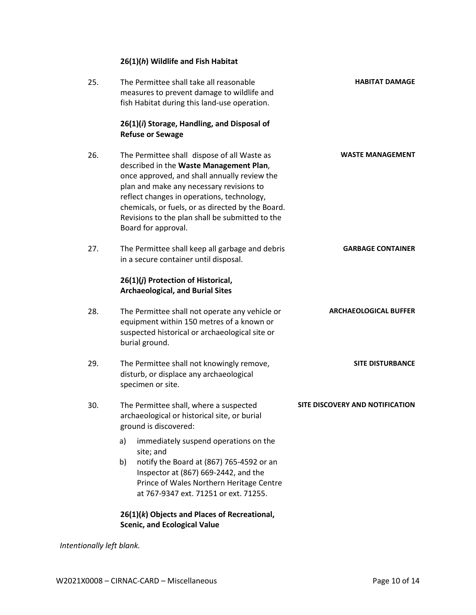# **26(1)(***h***) Wildlife and Fish Habitat**

| 25. | The Permittee shall take all reasonable<br>measures to prevent damage to wildlife and<br>fish Habitat during this land-use operation.                                                                                                                                                                                                                           | <b>HABITAT DAMAGE</b>           |
|-----|-----------------------------------------------------------------------------------------------------------------------------------------------------------------------------------------------------------------------------------------------------------------------------------------------------------------------------------------------------------------|---------------------------------|
|     | 26(1)(i) Storage, Handling, and Disposal of<br><b>Refuse or Sewage</b>                                                                                                                                                                                                                                                                                          |                                 |
| 26. | The Permittee shall dispose of all Waste as<br>described in the Waste Management Plan,<br>once approved, and shall annually review the<br>plan and make any necessary revisions to<br>reflect changes in operations, technology,<br>chemicals, or fuels, or as directed by the Board.<br>Revisions to the plan shall be submitted to the<br>Board for approval. | <b>WASTE MANAGEMENT</b>         |
| 27. | The Permittee shall keep all garbage and debris<br>in a secure container until disposal.                                                                                                                                                                                                                                                                        | <b>GARBAGE CONTAINER</b>        |
|     | 26(1)(j) Protection of Historical,<br><b>Archaeological, and Burial Sites</b>                                                                                                                                                                                                                                                                                   |                                 |
| 28. | The Permittee shall not operate any vehicle or<br>equipment within 150 metres of a known or<br>suspected historical or archaeological site or<br>burial ground.                                                                                                                                                                                                 | <b>ARCHAEOLOGICAL BUFFER</b>    |
| 29. | The Permittee shall not knowingly remove,<br>disturb, or displace any archaeological<br>specimen or site.                                                                                                                                                                                                                                                       | <b>SITE DISTURBANCE</b>         |
| 30. | The Permittee shall, where a suspected<br>archaeological or historical site, or burial<br>ground is discovered:                                                                                                                                                                                                                                                 | SITE DISCOVERY AND NOTIFICATION |
|     | immediately suspend operations on the<br>a)<br>site; and                                                                                                                                                                                                                                                                                                        |                                 |
|     | notify the Board at (867) 765-4592 or an<br>b)<br>Inspector at (867) 669-2442, and the<br>Prince of Wales Northern Heritage Centre<br>at 767-9347 ext. 71251 or ext. 71255.                                                                                                                                                                                     |                                 |
|     | 26(1)(k) Objects and Places of Recreational,<br><b>Scenic, and Ecological Value</b>                                                                                                                                                                                                                                                                             |                                 |

*Intentionally left blank.*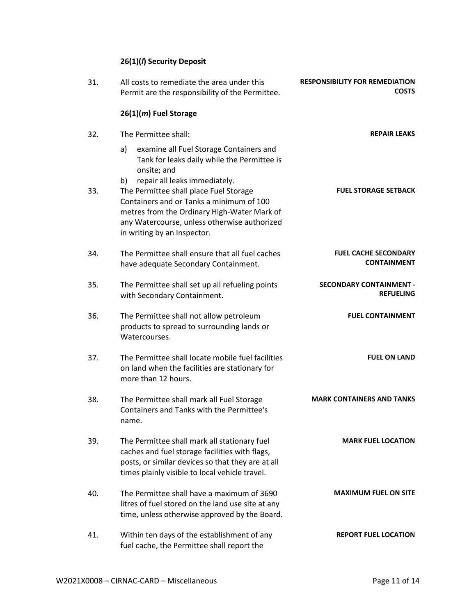# **26(1)(***l***) Security Deposit**

| <b>RESPONSIBILITY FOR REMEDIATION</b><br><b>COSTS</b> | All costs to remediate the area under this<br>Permit are the responsibility of the Permittee.                                                                                                                                                           | 31. |
|-------------------------------------------------------|---------------------------------------------------------------------------------------------------------------------------------------------------------------------------------------------------------------------------------------------------------|-----|
|                                                       | 26(1)(m) Fuel Storage                                                                                                                                                                                                                                   |     |
| <b>REPAIR LEAKS</b>                                   | The Permittee shall:                                                                                                                                                                                                                                    | 32. |
|                                                       | examine all Fuel Storage Containers and<br>a)<br>Tank for leaks daily while the Permittee is<br>onsite; and                                                                                                                                             |     |
| <b>FUEL STORAGE SETBACK</b>                           | repair all leaks immediately.<br>b)<br>The Permittee shall place Fuel Storage<br>Containers and or Tanks a minimum of 100<br>metres from the Ordinary High-Water Mark of<br>any Watercourse, unless otherwise authorized<br>in writing by an Inspector. | 33. |
| <b>FUEL CACHE SECONDARY</b><br><b>CONTAINMENT</b>     | The Permittee shall ensure that all fuel caches<br>have adequate Secondary Containment.                                                                                                                                                                 | 34. |
| <b>SECONDARY CONTAINMENT -</b><br><b>REFUELING</b>    | The Permittee shall set up all refueling points<br>with Secondary Containment.                                                                                                                                                                          | 35. |
| <b>FUEL CONTAINMENT</b>                               | The Permittee shall not allow petroleum<br>products to spread to surrounding lands or<br>Watercourses.                                                                                                                                                  | 36. |
| <b>FUEL ON LAND</b>                                   | The Permittee shall locate mobile fuel facilities<br>on land when the facilities are stationary for<br>more than 12 hours.                                                                                                                              | 37. |
| <b>MARK CONTAINERS AND TANKS</b>                      | The Permittee shall mark all Fuel Storage<br>Containers and Tanks with the Permittee's<br>name.                                                                                                                                                         | 38. |
| <b>MARK FUEL LOCATION</b>                             | The Permittee shall mark all stationary fuel<br>caches and fuel storage facilities with flags,<br>posts, or similar devices so that they are at all<br>times plainly visible to local vehicle travel.                                                   | 39. |
| <b>MAXIMUM FUEL ON SITE</b>                           | The Permittee shall have a maximum of 3690<br>litres of fuel stored on the land use site at any<br>time, unless otherwise approved by the Board.                                                                                                        | 40. |
| <b>REPORT FUEL LOCATION</b>                           | Within ten days of the establishment of any<br>fuel cache, the Permittee shall report the                                                                                                                                                               | 41. |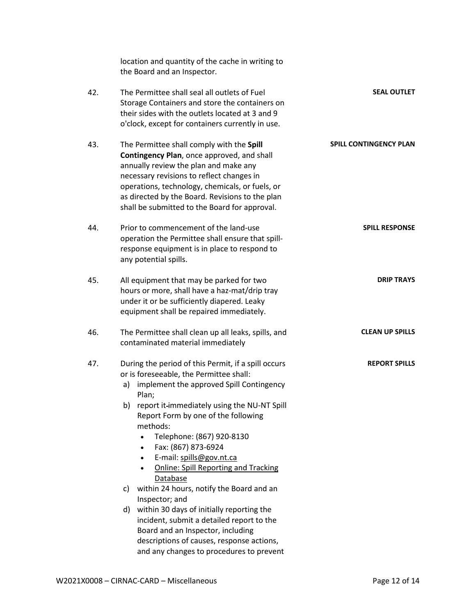|                               | location and quantity of the cache in writing to<br>the Board and an Inspector.                                                                                                                                                                                                                                                                                                                                                                                                                                         |     |
|-------------------------------|-------------------------------------------------------------------------------------------------------------------------------------------------------------------------------------------------------------------------------------------------------------------------------------------------------------------------------------------------------------------------------------------------------------------------------------------------------------------------------------------------------------------------|-----|
| <b>SEAL OUTLET</b>            | The Permittee shall seal all outlets of Fuel<br>Storage Containers and store the containers on<br>their sides with the outlets located at 3 and 9<br>o'clock, except for containers currently in use.                                                                                                                                                                                                                                                                                                                   | 42. |
| <b>SPILL CONTINGENCY PLAN</b> | The Permittee shall comply with the Spill<br>Contingency Plan, once approved, and shall<br>annually review the plan and make any<br>necessary revisions to reflect changes in<br>operations, technology, chemicals, or fuels, or<br>as directed by the Board. Revisions to the plan<br>shall be submitted to the Board for approval.                                                                                                                                                                                    | 43. |
| <b>SPILL RESPONSE</b>         | Prior to commencement of the land-use<br>operation the Permittee shall ensure that spill-<br>response equipment is in place to respond to<br>any potential spills.                                                                                                                                                                                                                                                                                                                                                      | 44. |
| <b>DRIP TRAYS</b>             | All equipment that may be parked for two<br>hours or more, shall have a haz-mat/drip tray<br>under it or be sufficiently diapered. Leaky<br>equipment shall be repaired immediately.                                                                                                                                                                                                                                                                                                                                    | 45. |
| <b>CLEAN UP SPILLS</b>        | The Permittee shall clean up all leaks, spills, and<br>contaminated material immediately                                                                                                                                                                                                                                                                                                                                                                                                                                | 46. |
| <b>REPORT SPILLS</b>          | During the period of this Permit, if a spill occurs<br>or is foreseeable, the Permittee shall:<br>implement the approved Spill Contingency<br>a)<br>Plan;<br>report it-immediately using the NU-NT Spill<br>b)<br>Report Form by one of the following<br>methods:<br>Telephone: (867) 920-8130<br>$\bullet$<br>Fax: (867) 873-6924<br>$\bullet$<br>E-mail: spills@gov.nt.ca<br>$\bullet$<br><b>Online: Spill Reporting and Tracking</b><br>Database<br>within 24 hours, notify the Board and an<br>C)<br>Inspector; and | 47. |
|                               | within 30 days of initially reporting the<br>d)<br>incident, submit a detailed report to the<br>Board and an Inspector, including<br>descriptions of causes, response actions,<br>and any changes to procedures to prevent                                                                                                                                                                                                                                                                                              |     |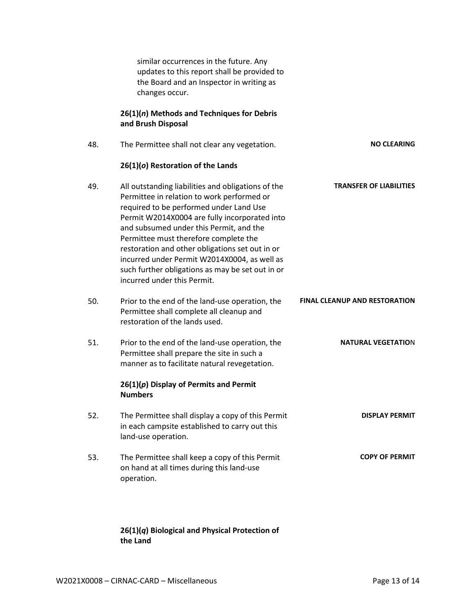similar occurrences in the future. Any updates to this report shall be provided to the Board and an Inspector in writing as changes occur.

### **26(1)(***n***) Methods and Techniques for Debris and Brush Disposal**

| 48. | The Permittee shall not clear any vegetation.                                                                                                                                                                                                                                                                                                                                                                                                                          | <b>NO CLEARING</b>                   |
|-----|------------------------------------------------------------------------------------------------------------------------------------------------------------------------------------------------------------------------------------------------------------------------------------------------------------------------------------------------------------------------------------------------------------------------------------------------------------------------|--------------------------------------|
|     | 26(1)(o) Restoration of the Lands                                                                                                                                                                                                                                                                                                                                                                                                                                      |                                      |
| 49. | All outstanding liabilities and obligations of the<br>Permittee in relation to work performed or<br>required to be performed under Land Use<br>Permit W2014X0004 are fully incorporated into<br>and subsumed under this Permit, and the<br>Permittee must therefore complete the<br>restoration and other obligations set out in or<br>incurred under Permit W2014X0004, as well as<br>such further obligations as may be set out in or<br>incurred under this Permit. | <b>TRANSFER OF LIABILITIES</b>       |
| 50. | Prior to the end of the land-use operation, the<br>Permittee shall complete all cleanup and<br>restoration of the lands used.                                                                                                                                                                                                                                                                                                                                          | <b>FINAL CLEANUP AND RESTORATION</b> |
| 51. | Prior to the end of the land-use operation, the<br>Permittee shall prepare the site in such a<br>manner as to facilitate natural revegetation.                                                                                                                                                                                                                                                                                                                         | <b>NATURAL VEGETATION</b>            |
|     | $26(1)(p)$ Display of Permits and Permit<br><b>Numbers</b>                                                                                                                                                                                                                                                                                                                                                                                                             |                                      |
| 52. | The Permittee shall display a copy of this Permit<br>in each campsite established to carry out this<br>land-use operation.                                                                                                                                                                                                                                                                                                                                             | <b>DISPLAY PERMIT</b>                |
| 53. | The Permittee shall keep a copy of this Permit<br>on hand at all times during this land-use<br>operation.                                                                                                                                                                                                                                                                                                                                                              | <b>COPY OF PERMIT</b>                |

### **26(1)(***q***) Biological and Physical Protection of the Land**